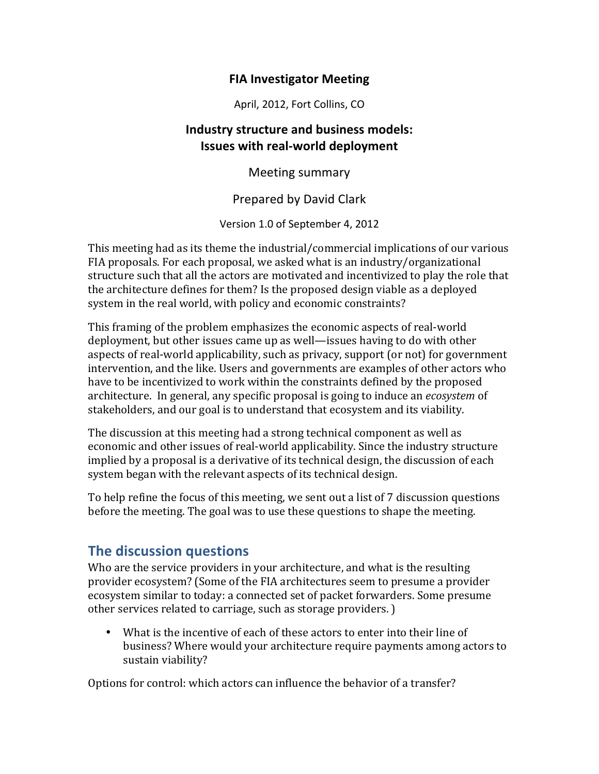## **FIA Investigator Meeting**

April, 2012, Fort Collins, CO

## **Industry structure and business models: Issues with real-world deployment**

Meeting summary

Prepared by David Clark

Version 1.0 of September 4, 2012

This meeting had as its theme the industrial/commercial implications of our various FIA proposals. For each proposal, we asked what is an industry/organizational structure such that all the actors are motivated and incentivized to play the role that the architecture defines for them? Is the proposed design viable as a deployed system in the real world, with policy and economic constraints?

This framing of the problem emphasizes the economic aspects of real-world deployment, but other issues came up as well—issues having to do with other aspects of real-world applicability, such as privacy, support (or not) for government intervention, and the like. Users and governments are examples of other actors who have to be incentivized to work within the constraints defined by the proposed architecture. In general, any specific proposal is going to induce an *ecosystem* of stakeholders, and our goal is to understand that ecosystem and its viability.

The discussion at this meeting had a strong technical component as well as economic and other issues of real-world applicability. Since the industry structure implied by a proposal is a derivative of its technical design, the discussion of each system began with the relevant aspects of its technical design.

To help refine the focus of this meeting, we sent out a list of 7 discussion questions before the meeting. The goal was to use these questions to shape the meeting.

# **The discussion questions**

Who are the service providers in your architecture, and what is the resulting provider ecosystem? (Some of the FIA architectures seem to presume a provider ecosystem similar to today: a connected set of packet forwarders. Some presume other services related to carriage, such as storage providers.)

• What is the incentive of each of these actors to enter into their line of business? Where would your architecture require payments among actors to sustain viability?

Options for control: which actors can influence the behavior of a transfer?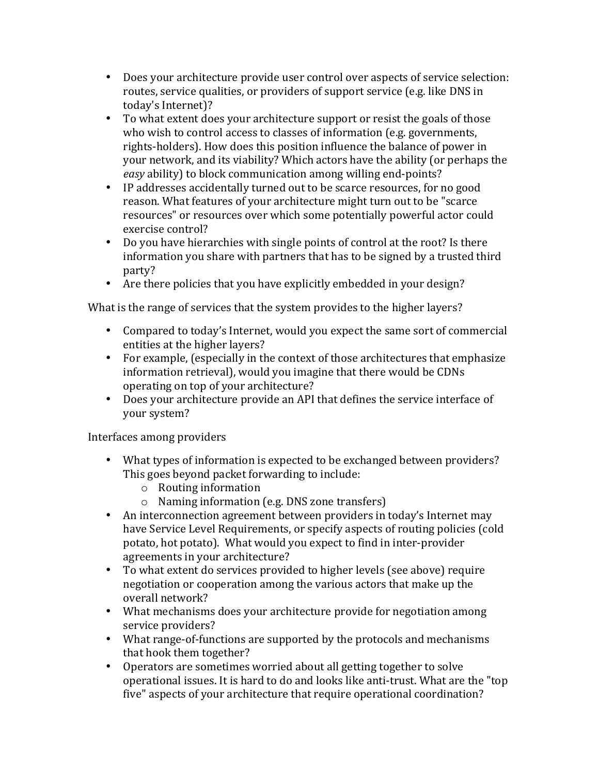- Does your architecture provide user control over aspects of service selection: routes, service qualities, or providers of support service (e.g. like DNS in today's Internet)?
- To what extent does your architecture support or resist the goals of those who wish to control access to classes of information (e.g. governments, rights-holders). How does this position influence the balance of power in your network, and its viability? Which actors have the ability (or perhaps the *easy* ability) to block communication among willing end-points?
- IP addresses accidentally turned out to be scarce resources, for no good reason. What features of your architecture might turn out to be "scarce" resources" or resources over which some potentially powerful actor could exercise control?
- Do you have hierarchies with single points of control at the root? Is there information you share with partners that has to be signed by a trusted third party?
- Are there policies that you have explicitly embedded in your design?

What is the range of services that the system provides to the higher layers?

- Compared to today's Internet, would you expect the same sort of commercial entities at the higher layers?
- For example, (especially in the context of those architectures that emphasize information retrieval), would you imagine that there would be CDNs operating on top of your architecture?
- Does your architecture provide an API that defines the service interface of your system?

## Interfaces among providers

- What types of information is expected to be exchanged between providers? This goes beyond packet forwarding to include:
	- $\circ$  Routing information
	- $\circ$  Naming information (e.g. DNS zone transfers)
- An interconnection agreement between providers in today's Internet may have Service Level Requirements, or specify aspects of routing policies (cold potato, hot potato). What would you expect to find in inter-provider agreements in your architecture?
- To what extent do services provided to higher levels (see above) require negotiation or cooperation among the various actors that make up the overall network?
- What mechanisms does your architecture provide for negotiation among service providers?
- What range-of-functions are supported by the protocols and mechanisms that hook them together?
- Operators are sometimes worried about all getting together to solve operational issues. It is hard to do and looks like anti-trust. What are the "top five" aspects of your architecture that require operational coordination?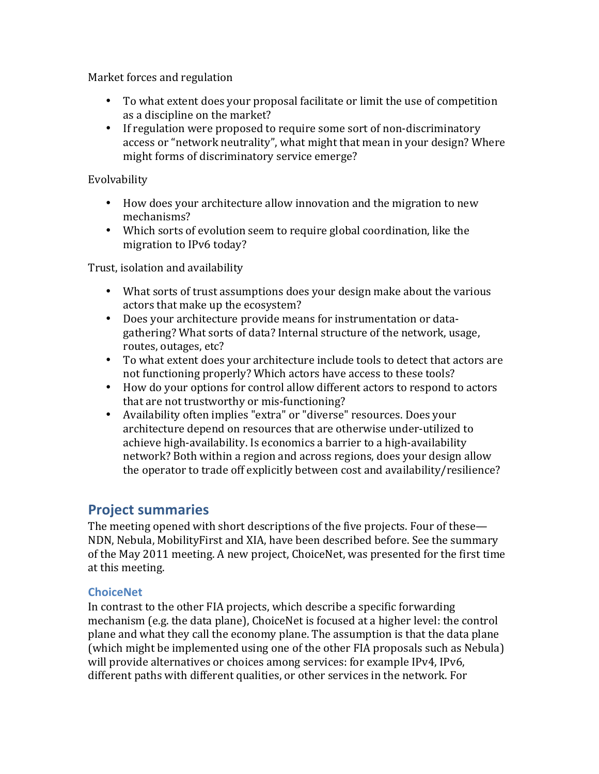Market forces and regulation

- To what extent does your proposal facilitate or limit the use of competition as a discipline on the market?
- If regulation were proposed to require some sort of non-discriminatory access or "network neutrality", what might that mean in your design? Where might forms of discriminatory service emerge?

### Evolvability

- How does your architecture allow innovation and the migration to new mechanisms?
- Which sorts of evolution seem to require global coordination, like the migration to IPv6 today?

Trust, isolation and availability

- What sorts of trust assumptions does your design make about the various actors that make up the ecosystem?
- Does your architecture provide means for instrumentation or datagathering? What sorts of data? Internal structure of the network, usage, routes, outages, etc?
- To what extent does your architecture include tools to detect that actors are not functioning properly? Which actors have access to these tools?
- How do your options for control allow different actors to respond to actors that are not trustworthy or mis-functioning?
- Availability often implies "extra" or "diverse" resources. Does your architecture depend on resources that are otherwise under-utilized to achieve high-availability. Is economics a barrier to a high-availability network? Both within a region and across regions, does your design allow the operator to trade off explicitly between cost and availability/resilience?

# **Project summaries**

The meeting opened with short descriptions of the five projects. Four of these— NDN, Nebula, MobilityFirst and XIA, have been described before. See the summary of the May 2011 meeting. A new project, ChoiceNet, was presented for the first time at this meeting.

### **ChoiceNet**

In contrast to the other FIA projects, which describe a specific forwarding mechanism (e.g. the data plane), ChoiceNet is focused at a higher level: the control plane and what they call the economy plane. The assumption is that the data plane (which might be implemented using one of the other FIA proposals such as Nebula) will provide alternatives or choices among services: for example IPv4, IPv6, different paths with different qualities, or other services in the network. For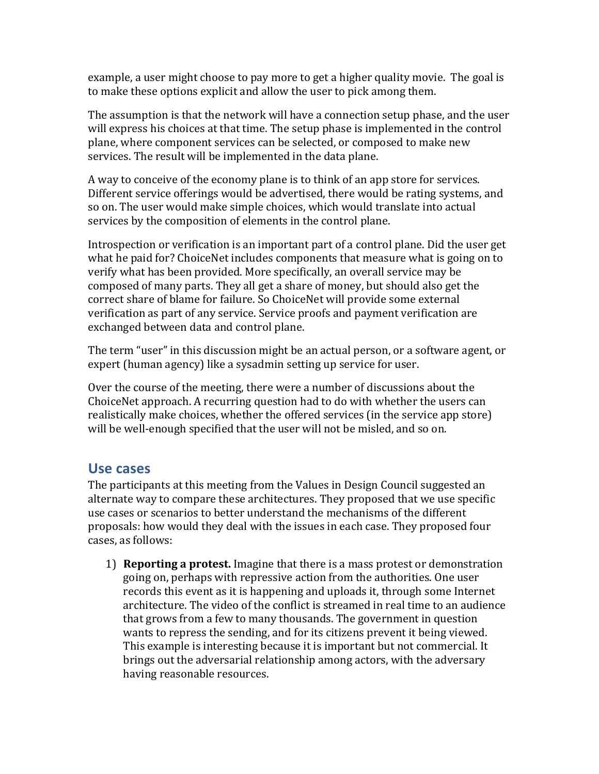example, a user might choose to pay more to get a higher quality movie. The goal is to make these options explicit and allow the user to pick among them.

The assumption is that the network will have a connection setup phase, and the user will express his choices at that time. The setup phase is implemented in the control plane, where component services can be selected, or composed to make new services. The result will be implemented in the data plane.

A way to conceive of the economy plane is to think of an app store for services. Different service offerings would be advertised, there would be rating systems, and so on. The user would make simple choices, which would translate into actual services by the composition of elements in the control plane.

Introspection or verification is an important part of a control plane. Did the user get what he paid for? ChoiceNet includes components that measure what is going on to verify what has been provided. More specifically, an overall service may be composed of many parts. They all get a share of money, but should also get the correct share of blame for failure. So ChoiceNet will provide some external verification as part of any service. Service proofs and payment verification are exchanged between data and control plane.

The term "user" in this discussion might be an actual person, or a software agent, or expert (human agency) like a sysadmin setting up service for user.

Over the course of the meeting, there were a number of discussions about the ChoiceNet approach. A recurring question had to do with whether the users can realistically make choices, whether the offered services (in the service app store) will be well-enough specified that the user will not be misled, and so on.

# Use cases

The participants at this meeting from the Values in Design Council suggested an alternate way to compare these architectures. They proposed that we use specific use cases or scenarios to better understand the mechanisms of the different proposals: how would they deal with the issues in each case. They proposed four cases, as follows:

1) **Reporting a protest.** Imagine that there is a mass protest or demonstration going on, perhaps with repressive action from the authorities. One user records this event as it is happening and uploads it, through some Internet architecture. The video of the conflict is streamed in real time to an audience that grows from a few to many thousands. The government in question wants to repress the sending, and for its citizens prevent it being viewed. This example is interesting because it is important but not commercial. It brings out the adversarial relationship among actors, with the adversary having reasonable resources.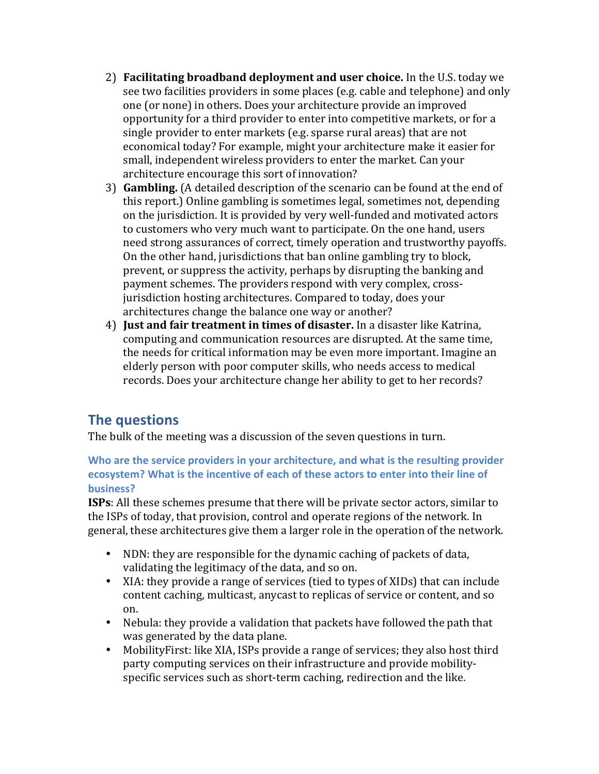- 2) **Facilitating broadband deployment and user choice.** In the U.S. today we see two facilities providers in some places (e.g. cable and telephone) and only one (or none) in others. Does your architecture provide an improved opportunity for a third provider to enter into competitive markets, or for a single provider to enter markets (e.g. sparse rural areas) that are not economical today? For example, might your architecture make it easier for small, independent wireless providers to enter the market. Can your architecture encourage this sort of innovation?
- 3) **Gambling.** (A detailed description of the scenario can be found at the end of this report.) Online gambling is sometimes legal, sometimes not, depending on the jurisdiction. It is provided by very well-funded and motivated actors to customers who very much want to participate. On the one hand, users need strong assurances of correct, timely operation and trustworthy payoffs. On the other hand, jurisdictions that ban online gambling try to block, prevent, or suppress the activity, perhaps by disrupting the banking and payment schemes. The providers respond with very complex, crossjurisdiction hosting architectures. Compared to today, does your architectures change the balance one way or another?
- 4) **Just and fair treatment in times of disaster.** In a disaster like Katrina, computing and communication resources are disrupted. At the same time, the needs for critical information may be even more important. Imagine an elderly person with poor computer skills, who needs access to medical records. Does your architecture change her ability to get to her records?

# **The questions**

The bulk of the meeting was a discussion of the seven questions in turn.

### Who are the service providers in your architecture, and what is the resulting provider ecosystem? What is the incentive of each of these actors to enter into their line of **business?**

**ISPs:** All these schemes presume that there will be private sector actors, similar to the ISPs of today, that provision, control and operate regions of the network. In general, these architectures give them a larger role in the operation of the network.

- NDN: they are responsible for the dynamic caching of packets of data, validating the legitimacy of the data, and so on.
- XIA: they provide a range of services (tied to types of XIDs) that can include content caching, multicast, any cast to replicas of service or content, and so on.
- Nebula: they provide a validation that packets have followed the path that was generated by the data plane.
- MobilityFirst: like XIA, ISPs provide a range of services; they also host third party computing services on their infrastructure and provide mobilityspecific services such as short-term caching, redirection and the like.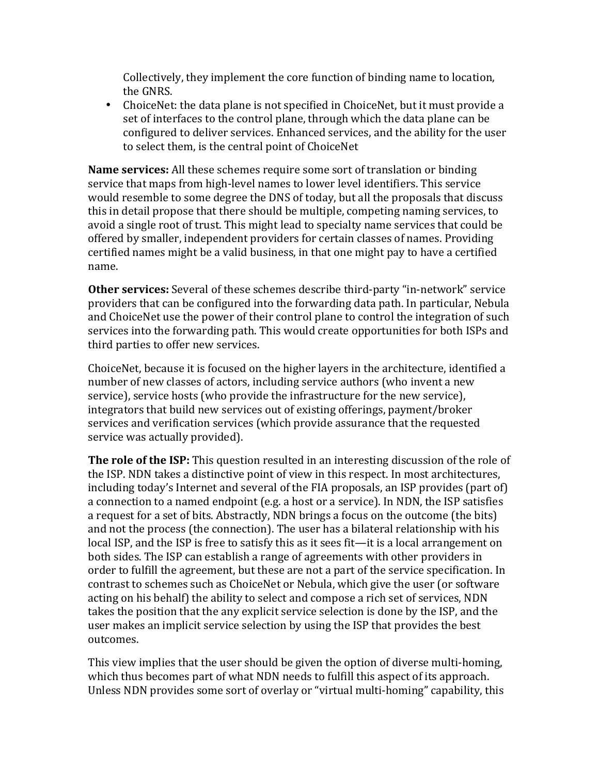Collectively, they implement the core function of binding name to location, the GNRS.

• ChoiceNet: the data plane is not specified in ChoiceNet, but it must provide a set of interfaces to the control plane, through which the data plane can be configured to deliver services. Enhanced services, and the ability for the user to select them, is the central point of ChoiceNet

**Name services:** All these schemes require some sort of translation or binding service that maps from high-level names to lower level identifiers. This service would resemble to some degree the DNS of today, but all the proposals that discuss this in detail propose that there should be multiple, competing naming services, to avoid a single root of trust. This might lead to specialty name services that could be offered by smaller, independent providers for certain classes of names. Providing certified names might be a valid business, in that one might pay to have a certified name.

**Other services:** Several of these schemes describe third-party "in-network" service providers that can be configured into the forwarding data path. In particular, Nebula and ChoiceNet use the power of their control plane to control the integration of such services into the forwarding path. This would create opportunities for both ISPs and third parties to offer new services.

ChoiceNet, because it is focused on the higher layers in the architecture, identified a number of new classes of actors, including service authors (who invent a new service), service hosts (who provide the infrastructure for the new service), integrators that build new services out of existing offerings, payment/broker services and verification services (which provide assurance that the requested service was actually provided).

**The role of the ISP:** This question resulted in an interesting discussion of the role of the ISP. NDN takes a distinctive point of view in this respect. In most architectures, including today's Internet and several of the FIA proposals, an ISP provides (part of) a connection to a named endpoint (e.g. a host or a service). In NDN, the ISP satisfies a request for a set of bits. Abstractly, NDN brings a focus on the outcome (the bits) and not the process (the connection). The user has a bilateral relationship with his local ISP, and the ISP is free to satisfy this as it sees fit—it is a local arrangement on both sides. The ISP can establish a range of agreements with other providers in order to fulfill the agreement, but these are not a part of the service specification. In contrast to schemes such as ChoiceNet or Nebula, which give the user (or software acting on his behalf) the ability to select and compose a rich set of services, NDN takes the position that the any explicit service selection is done by the ISP, and the user makes an implicit service selection by using the ISP that provides the best outcomes.

This view implies that the user should be given the option of diverse multi-homing, which thus becomes part of what NDN needs to fulfill this aspect of its approach. Unless NDN provides some sort of overlay or "virtual multi-homing" capability, this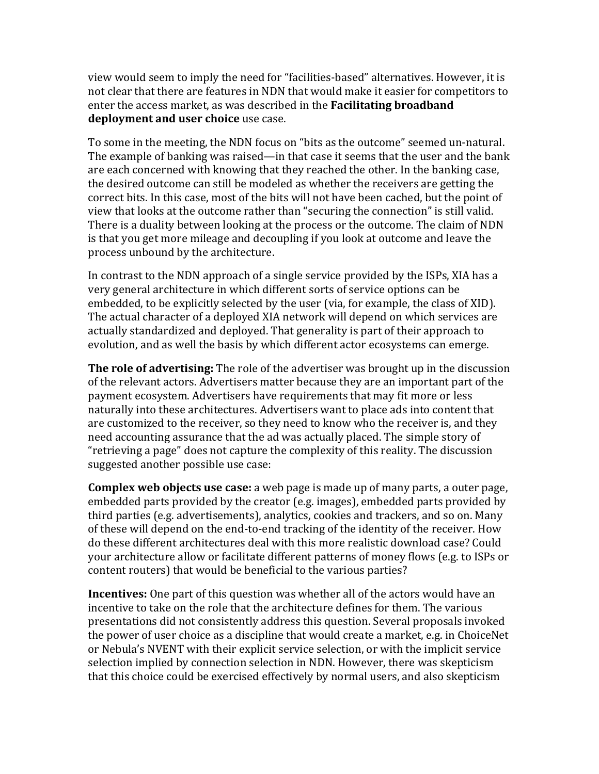view would seem to imply the need for "facilities-based" alternatives. However, it is not clear that there are features in NDN that would make it easier for competitors to enter the access market, as was described in the **Facilitating broadband deployment and user choice** use case.

To some in the meeting, the NDN focus on "bits as the outcome" seemed un-natural. The example of banking was raised—in that case it seems that the user and the bank are each concerned with knowing that they reached the other. In the banking case, the desired outcome can still be modeled as whether the receivers are getting the correct bits. In this case, most of the bits will not have been cached, but the point of view that looks at the outcome rather than "securing the connection" is still valid. There is a duality between looking at the process or the outcome. The claim of NDN is that you get more mileage and decoupling if you look at outcome and leave the process unbound by the architecture.

In contrast to the NDN approach of a single service provided by the ISPs, XIA has a very general architecture in which different sorts of service options can be embedded, to be explicitly selected by the user (via, for example, the class of XID). The actual character of a deployed XIA network will depend on which services are actually standardized and deployed. That generality is part of their approach to evolution, and as well the basis by which different actor ecosystems can emerge.

The role of advertising: The role of the advertiser was brought up in the discussion of the relevant actors. Advertisers matter because they are an important part of the payment ecosystem. Advertisers have requirements that may fit more or less naturally into these architectures. Advertisers want to place ads into content that are customized to the receiver, so they need to know who the receiver is, and they need accounting assurance that the ad was actually placed. The simple story of "retrieving a page" does not capture the complexity of this reality. The discussion suggested another possible use case:

**Complex web objects use case:** a web page is made up of many parts, a outer page, embedded parts provided by the creator (e.g. images), embedded parts provided by third parties (e.g. advertisements), analytics, cookies and trackers, and so on. Many of these will depend on the end-to-end tracking of the identity of the receiver. How do these different architectures deal with this more realistic download case? Could your architecture allow or facilitate different patterns of money flows (e.g. to ISPs or content routers) that would be beneficial to the various parties?

**Incentives:** One part of this question was whether all of the actors would have an incentive to take on the role that the architecture defines for them. The various presentations did not consistently address this question. Several proposals invoked the power of user choice as a discipline that would create a market, e.g. in ChoiceNet or Nebula's NVENT with their explicit service selection, or with the implicit service selection implied by connection selection in NDN. However, there was skepticism that this choice could be exercised effectively by normal users, and also skepticism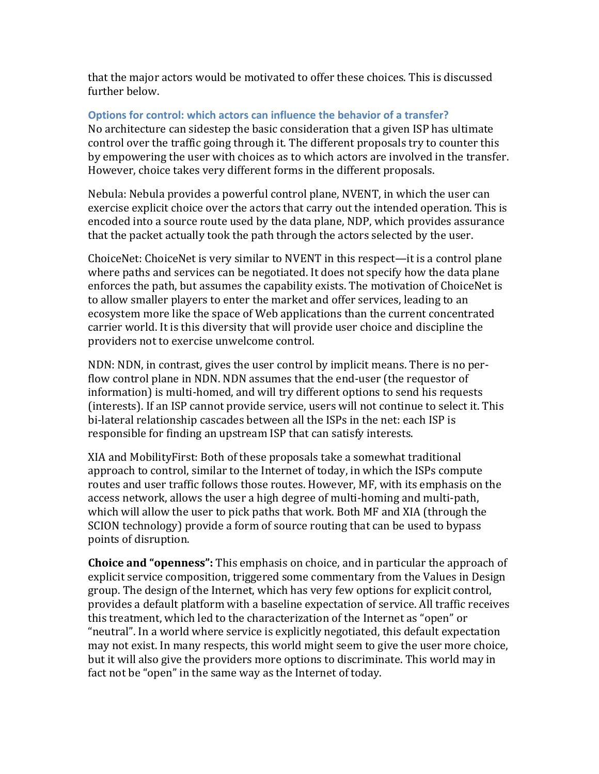that the major actors would be motivated to offer these choices. This is discussed further below.

#### **Options for control: which actors can influence the behavior of a transfer?**

No architecture can sidestep the basic consideration that a given ISP has ultimate control over the traffic going through it. The different proposals try to counter this by empowering the user with choices as to which actors are involved in the transfer. However, choice takes very different forms in the different proposals.

Nebula: Nebula provides a powerful control plane, NVENT, in which the user can exercise explicit choice over the actors that carry out the intended operation. This is encoded into a source route used by the data plane, NDP, which provides assurance that the packet actually took the path through the actors selected by the user.

ChoiceNet: ChoiceNet is very similar to NVENT in this respect—it is a control plane where paths and services can be negotiated. It does not specify how the data plane enforces the path, but assumes the capability exists. The motivation of ChoiceNet is to allow smaller players to enter the market and offer services, leading to an ecosystem more like the space of Web applications than the current concentrated carrier world. It is this diversity that will provide user choice and discipline the providers not to exercise unwelcome control.

NDN: NDN, in contrast, gives the user control by implicit means. There is no perflow control plane in NDN. NDN assumes that the end-user (the requestor of information) is multi-homed, and will try different options to send his requests (interests). If an ISP cannot provide service, users will not continue to select it. This bi-lateral relationship cascades between all the ISPs in the net: each ISP is responsible for finding an upstream ISP that can satisfy interests.

XIA and MobilityFirst: Both of these proposals take a somewhat traditional approach to control, similar to the Internet of today, in which the ISPs compute routes and user traffic follows those routes. However, MF, with its emphasis on the access network, allows the user a high degree of multi-homing and multi-path, which will allow the user to pick paths that work. Both MF and XIA (through the SCION technology) provide a form of source routing that can be used to bypass points of disruption.

**Choice and "openness":** This emphasis on choice, and in particular the approach of explicit service composition, triggered some commentary from the Values in Design group. The design of the Internet, which has very few options for explicit control, provides a default platform with a baseline expectation of service. All traffic receives this treatment, which led to the characterization of the Internet as "open" or "neutral". In a world where service is explicitly negotiated, this default expectation may not exist. In many respects, this world might seem to give the user more choice, but it will also give the providers more options to discriminate. This world may in fact not be "open" in the same way as the Internet of today.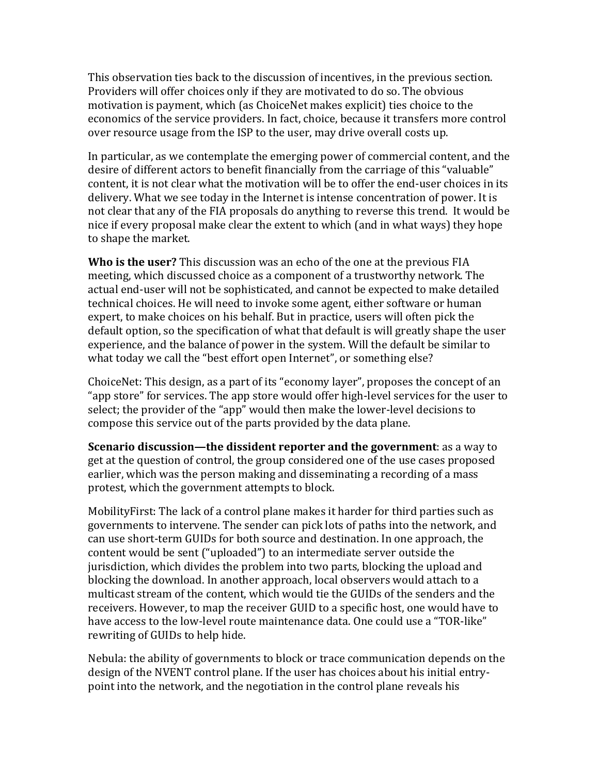This observation ties back to the discussion of incentives, in the previous section. Providers will offer choices only if they are motivated to do so. The obvious motivation is payment, which (as ChoiceNet makes explicit) ties choice to the economics of the service providers. In fact, choice, because it transfers more control over resource usage from the ISP to the user, may drive overall costs up.

In particular, as we contemplate the emerging power of commercial content, and the desire of different actors to benefit financially from the carriage of this "valuable" content, it is not clear what the motivation will be to offer the end-user choices in its delivery. What we see today in the Internet is intense concentration of power. It is not clear that any of the FIA proposals do anything to reverse this trend. It would be nice if every proposal make clear the extent to which (and in what ways) they hope to shape the market.

**Who is the user?** This discussion was an echo of the one at the previous FIA meeting, which discussed choice as a component of a trustworthy network. The actual end-user will not be sophisticated, and cannot be expected to make detailed technical choices. He will need to invoke some agent, either software or human expert, to make choices on his behalf. But in practice, users will often pick the default option, so the specification of what that default is will greatly shape the user experience, and the balance of power in the system. Will the default be similar to what today we call the "best effort open Internet", or something else?

ChoiceNet: This design, as a part of its "economy layer", proposes the concept of an "app store" for services. The app store would offer high-level services for the user to select; the provider of the "app" would then make the lower-level decisions to compose this service out of the parts provided by the data plane.

**Scenario discussion—the dissident reporter and the government: as a way to** get at the question of control, the group considered one of the use cases proposed earlier, which was the person making and disseminating a recording of a mass protest, which the government attempts to block.

Mobility First: The lack of a control plane makes it harder for third parties such as governments to intervene. The sender can pick lots of paths into the network, and can use short-term GUIDs for both source and destination. In one approach, the content would be sent ("uploaded") to an intermediate server outside the jurisdiction, which divides the problem into two parts, blocking the upload and blocking the download. In another approach, local observers would attach to a multicast stream of the content, which would tie the GUIDs of the senders and the receivers. However, to map the receiver GUID to a specific host, one would have to have access to the low-level route maintenance data. One could use a "TOR-like" rewriting of GUIDs to help hide.

Nebula: the ability of governments to block or trace communication depends on the design of the NVENT control plane. If the user has choices about his initial entrypoint into the network, and the negotiation in the control plane reveals his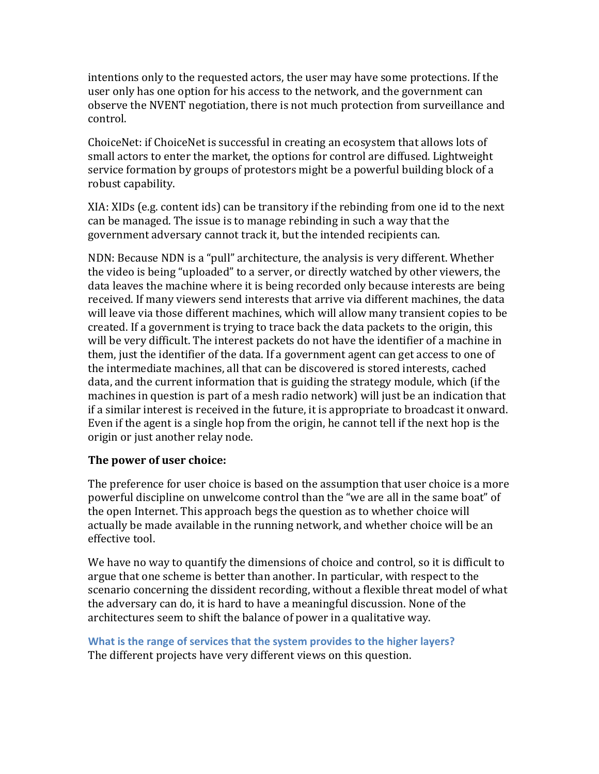intentions only to the requested actors, the user may have some protections. If the user only has one option for his access to the network, and the government can observe the NVENT negotiation, there is not much protection from surveillance and control.

ChoiceNet: if ChoiceNet is successful in creating an ecosystem that allows lots of small actors to enter the market, the options for control are diffused. Lightweight service formation by groups of protestors might be a powerful building block of a robust capability.

 $XIA: XIDs$  (e.g. content ids) can be transitory if the rebinding from one id to the next can be managed. The issue is to manage rebinding in such a way that the government adversary cannot track it, but the intended recipients can.

NDN: Because NDN is a "pull" architecture, the analysis is very different. Whether the video is being "uploaded" to a server, or directly watched by other viewers, the data leaves the machine where it is being recorded only because interests are being received. If many viewers send interests that arrive via different machines, the data will leave via those different machines, which will allow many transient copies to be created. If a government is trying to trace back the data packets to the origin, this will be very difficult. The interest packets do not have the identifier of a machine in them, just the identifier of the data. If a government agent can get access to one of the intermediate machines, all that can be discovered is stored interests, cached data, and the current information that is guiding the strategy module, which (if the machines in question is part of a mesh radio network) will just be an indication that if a similar interest is received in the future, it is appropriate to broadcast it onward. Even if the agent is a single hop from the origin, he cannot tell if the next hop is the origin or just another relay node.

### **The power of user choice:**

The preference for user choice is based on the assumption that user choice is a more powerful discipline on unwelcome control than the "we are all in the same boat" of the open Internet. This approach begs the question as to whether choice will actually be made available in the running network, and whether choice will be an effective tool.

We have no way to quantify the dimensions of choice and control, so it is difficult to argue that one scheme is better than another. In particular, with respect to the scenario concerning the dissident recording, without a flexible threat model of what the adversary can do, it is hard to have a meaningful discussion. None of the architectures seem to shift the balance of power in a qualitative way.

**What is the range of services that the system provides to the higher layers?** The different projects have very different views on this question.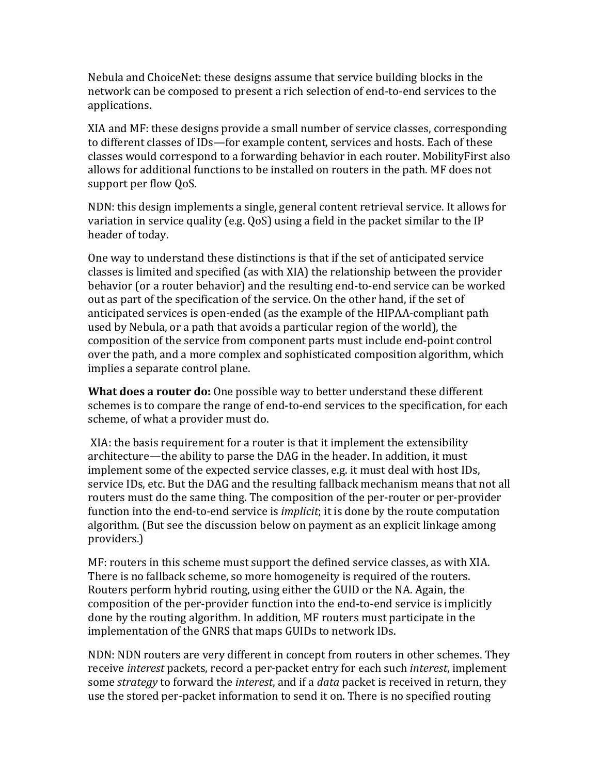Nebula and ChoiceNet: these designs assume that service building blocks in the network can be composed to present a rich selection of end-to-end services to the applications.

XIA and MF: these designs provide a small number of service classes, corresponding to different classes of IDs—for example content, services and hosts. Each of these classes would correspond to a forwarding behavior in each router. MobilityFirst also allows for additional functions to be installed on routers in the path. MF does not support per flow QoS.

NDN: this design implements a single, general content retrieval service. It allows for variation in service quality (e.g.  $QoS$ ) using a field in the packet similar to the IP header of today.

One way to understand these distinctions is that if the set of anticipated service classes is limited and specified (as with XIA) the relationship between the provider behavior (or a router behavior) and the resulting end-to-end service can be worked out as part of the specification of the service. On the other hand, if the set of anticipated services is open-ended (as the example of the HIPAA-compliant path used by Nebula, or a path that avoids a particular region of the world), the composition of the service from component parts must include end-point control over the path, and a more complex and sophisticated composition algorithm, which implies a separate control plane.

**What does a router do:** One possible way to better understand these different schemes is to compare the range of end-to-end services to the specification, for each scheme, of what a provider must do.

XIA: the basis requirement for a router is that it implement the extensibility architecture—the ability to parse the DAG in the header. In addition, it must implement some of the expected service classes, e.g. it must deal with host IDs, service IDs, etc. But the DAG and the resulting fallback mechanism means that not all routers must do the same thing. The composition of the per-router or per-provider function into the end-to-end service is *implicit*; it is done by the route computation algorithm. (But see the discussion below on payment as an explicit linkage among providers.)

 $MF:$  routers in this scheme must support the defined service classes, as with XIA. There is no fallback scheme, so more homogeneity is required of the routers. Routers perform hybrid routing, using either the GUID or the NA. Again, the composition of the per-provider function into the end-to-end service is implicitly done by the routing algorithm. In addition, MF routers must participate in the implementation of the GNRS that maps GUIDs to network IDs.

NDN: NDN routers are very different in concept from routers in other schemes. They receive *interest* packets, record a per-packet entry for each such *interest*, implement some *strategy* to forward the *interest*, and if a *data* packet is received in return, they use the stored per-packet information to send it on. There is no specified routing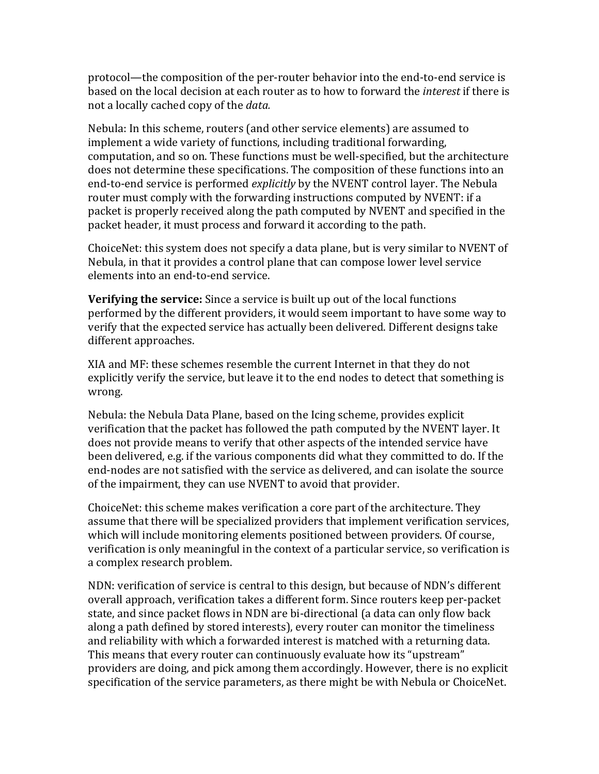protocol—the composition of the per-router behavior into the end-to-end service is based on the local decision at each router as to how to forward the *interest* if there is not a locally cached copy of the *data*.

Nebula: In this scheme, routers (and other service elements) are assumed to implement a wide variety of functions, including traditional forwarding, computation, and so on. These functions must be well-specified, but the architecture does not determine these specifications. The composition of these functions into an end-to-end service is performed *explicitly* by the NVENT control layer. The Nebula router must comply with the forwarding instructions computed by NVENT: if a packet is properly received along the path computed by NVENT and specified in the packet header, it must process and forward it according to the path.

ChoiceNet: this system does not specify a data plane, but is very similar to NVENT of Nebula, in that it provides a control plane that can compose lower level service elements into an end-to-end service.

**Verifying the service:** Since a service is built up out of the local functions performed by the different providers, it would seem important to have some way to verify that the expected service has actually been delivered. Different designs take different approaches.

XIA and MF: these schemes resemble the current Internet in that they do not explicitly verify the service, but leave it to the end nodes to detect that something is wrong.

Nebula: the Nebula Data Plane, based on the Icing scheme, provides explicit verification that the packet has followed the path computed by the NVENT layer. It does not provide means to verify that other aspects of the intended service have been delivered, e.g. if the various components did what they committed to do. If the end-nodes are not satisfied with the service as delivered, and can isolate the source of the impairment, they can use NVENT to avoid that provider.

ChoiceNet: this scheme makes verification a core part of the architecture. They assume that there will be specialized providers that implement verification services, which will include monitoring elements positioned between providers. Of course, verification is only meaningful in the context of a particular service, so verification is a complex research problem.

NDN: verification of service is central to this design, but because of NDN's different overall approach, verification takes a different form. Since routers keep per-packet state, and since packet flows in NDN are bi-directional (a data can only flow back along a path defined by stored interests), every router can monitor the timeliness and reliability with which a forwarded interest is matched with a returning data. This means that every router can continuously evaluate how its "upstream" providers are doing, and pick among them accordingly. However, there is no explicit specification of the service parameters, as there might be with Nebula or ChoiceNet.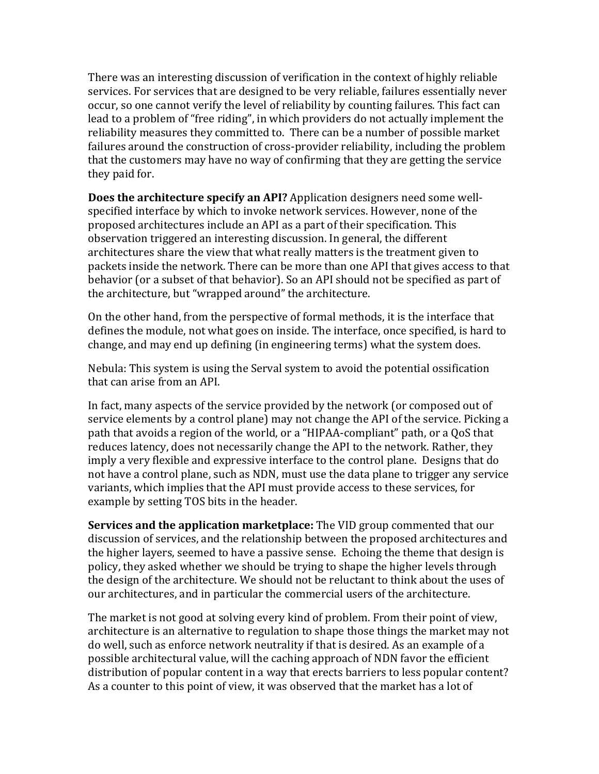There was an interesting discussion of verification in the context of highly reliable services. For services that are designed to be very reliable, failures essentially never occur, so one cannot verify the level of reliability by counting failures. This fact can lead to a problem of "free riding", in which providers do not actually implement the reliability measures they committed to. There can be a number of possible market failures around the construction of cross-provider reliability, including the problem that the customers may have no way of confirming that they are getting the service they paid for.

**Does the architecture specify an API?** Application designers need some wellspecified interface by which to invoke network services. However, none of the proposed architectures include an API as a part of their specification. This observation triggered an interesting discussion. In general, the different architectures share the view that what really matters is the treatment given to packets inside the network. There can be more than one API that gives access to that behavior (or a subset of that behavior). So an API should not be specified as part of the architecture, but "wrapped around" the architecture.

On the other hand, from the perspective of formal methods, it is the interface that defines the module, not what goes on inside. The interface, once specified, is hard to change, and may end up defining (in engineering terms) what the system does.

Nebula: This system is using the Serval system to avoid the potential ossification that can arise from an API.

In fact, many aspects of the service provided by the network (or composed out of service elements by a control plane) may not change the API of the service. Picking a path that avoids a region of the world, or a "HIPAA-compliant" path, or a QoS that reduces latency, does not necessarily change the API to the network. Rather, they imply a very flexible and expressive interface to the control plane. Designs that do not have a control plane, such as NDN, must use the data plane to trigger any service variants, which implies that the API must provide access to these services, for example by setting TOS bits in the header.

**Services and the application marketplace:** The VID group commented that our discussion of services, and the relationship between the proposed architectures and the higher layers, seemed to have a passive sense. Echoing the theme that design is policy, they asked whether we should be trying to shape the higher levels through the design of the architecture. We should not be reluctant to think about the uses of our architectures, and in particular the commercial users of the architecture.

The market is not good at solving every kind of problem. From their point of view, architecture is an alternative to regulation to shape those things the market may not do well, such as enforce network neutrality if that is desired. As an example of a possible architectural value, will the caching approach of NDN favor the efficient distribution of popular content in a way that erects barriers to less popular content? As a counter to this point of view, it was observed that the market has a lot of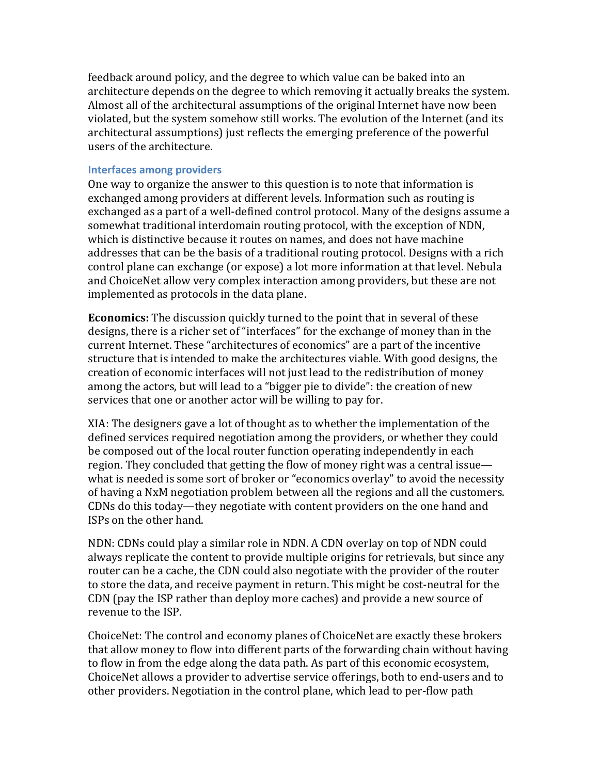feedback around policy, and the degree to which value can be baked into an architecture depends on the degree to which removing it actually breaks the system. Almost all of the architectural assumptions of the original Internet have now been violated, but the system somehow still works. The evolution of the Internet (and its architectural assumptions) just reflects the emerging preference of the powerful users of the architecture.

#### **Interfaces among providers**

One way to organize the answer to this question is to note that information is exchanged among providers at different levels. Information such as routing is exchanged as a part of a well-defined control protocol. Many of the designs assume a somewhat traditional interdomain routing protocol, with the exception of NDN, which is distinctive because it routes on names, and does not have machine addresses that can be the basis of a traditional routing protocol. Designs with a rich control plane can exchange (or expose) a lot more information at that level. Nebula and ChoiceNet allow very complex interaction among providers, but these are not implemented as protocols in the data plane.

**Economics:** The discussion quickly turned to the point that in several of these designs, there is a richer set of "interfaces" for the exchange of money than in the current Internet. These "architectures of economics" are a part of the incentive structure that is intended to make the architectures viable. With good designs, the creation of economic interfaces will not just lead to the redistribution of money among the actors, but will lead to a "bigger pie to divide": the creation of new services that one or another actor will be willing to pay for.

XIA: The designers gave a lot of thought as to whether the implementation of the defined services required negotiation among the providers, or whether they could be composed out of the local router function operating independently in each region. They concluded that getting the flow of money right was a central issue what is needed is some sort of broker or "economics overlay" to avoid the necessity of having a NxM negotiation problem between all the regions and all the customers. CDNs do this today—they negotiate with content providers on the one hand and ISPs on the other hand.

NDN: CDNs could play a similar role in NDN. A CDN overlay on top of NDN could always replicate the content to provide multiple origins for retrievals, but since any router can be a cache, the CDN could also negotiate with the provider of the router to store the data, and receive payment in return. This might be cost-neutral for the CDN (pay the ISP rather than deploy more caches) and provide a new source of revenue to the ISP.

ChoiceNet: The control and economy planes of ChoiceNet are exactly these brokers that allow money to flow into different parts of the forwarding chain without having to flow in from the edge along the data path. As part of this economic ecosystem, ChoiceNet allows a provider to advertise service offerings, both to end-users and to other providers. Negotiation in the control plane, which lead to per-flow path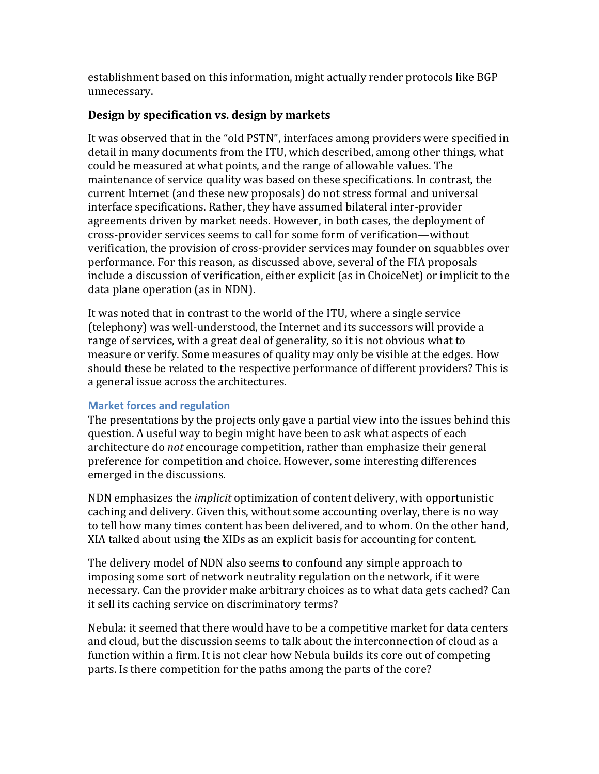establishment based on this information, might actually render protocols like BGP unnecessary.

## Design by specification vs. design by markets

It was observed that in the "old PSTN", interfaces among providers were specified in detail in many documents from the ITU, which described, among other things, what could be measured at what points, and the range of allowable values. The maintenance of service quality was based on these specifications. In contrast, the current Internet (and these new proposals) do not stress formal and universal interface specifications. Rather, they have assumed bilateral inter-provider agreements driven by market needs. However, in both cases, the deployment of cross-provider services seems to call for some form of verification—without verification, the provision of cross-provider services may founder on squabbles over performance. For this reason, as discussed above, several of the FIA proposals include a discussion of verification, either explicit (as in ChoiceNet) or implicit to the data plane operation (as in NDN).

It was noted that in contrast to the world of the ITU, where a single service  $(telephony)$  was well-understood, the Internet and its successors will provide a range of services, with a great deal of generality, so it is not obvious what to measure or verify. Some measures of quality may only be visible at the edges. How should these be related to the respective performance of different providers? This is a general issue across the architectures.

## **Market forces and regulation**

The presentations by the projects only gave a partial view into the issues behind this question. A useful way to begin might have been to ask what aspects of each architecture do *not* encourage competition, rather than emphasize their general preference for competition and choice. However, some interesting differences emerged in the discussions.

NDN emphasizes the *implicit* optimization of content delivery, with opportunistic caching and delivery. Given this, without some accounting overlay, there is no way to tell how many times content has been delivered, and to whom. On the other hand, XIA talked about using the XIDs as an explicit basis for accounting for content.

The delivery model of NDN also seems to confound any simple approach to imposing some sort of network neutrality regulation on the network, if it were necessary. Can the provider make arbitrary choices as to what data gets cached? Can it sell its caching service on discriminatory terms?

Nebula: it seemed that there would have to be a competitive market for data centers and cloud, but the discussion seems to talk about the interconnection of cloud as a function within a firm. It is not clear how Nebula builds its core out of competing parts. Is there competition for the paths among the parts of the core?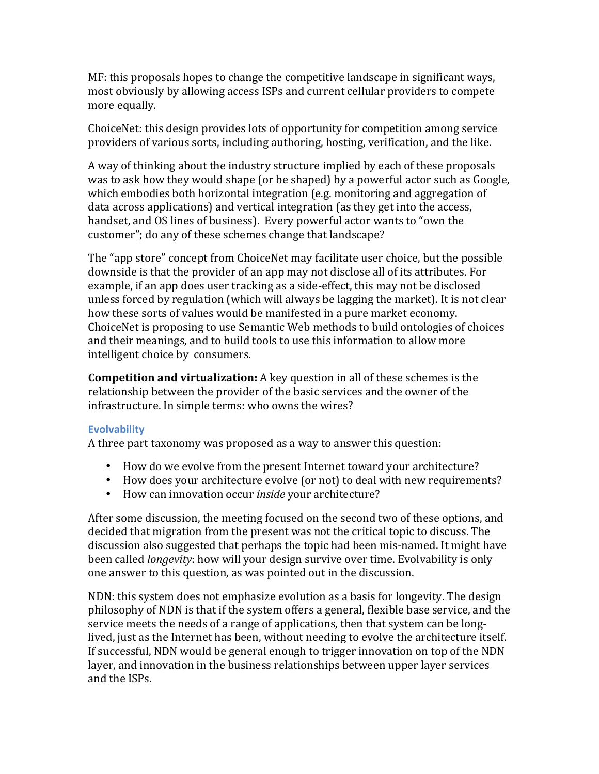$MF:$  this proposals hopes to change the competitive landscape in significant ways, most obviously by allowing access ISPs and current cellular providers to compete more equally.

ChoiceNet: this design provides lots of opportunity for competition among service providers of various sorts, including authoring, hosting, verification, and the like.

A way of thinking about the industry structure implied by each of these proposals was to ask how they would shape (or be shaped) by a powerful actor such as Google, which embodies both horizontal integration (e.g. monitoring and aggregation of data across applications) and vertical integration (as they get into the access, handset, and OS lines of business). Every powerful actor wants to "own the customer"; do any of these schemes change that landscape?

The "app store" concept from ChoiceNet may facilitate user choice, but the possible downside is that the provider of an app may not disclose all of its attributes. For example, if an app does user tracking as a side-effect, this may not be disclosed unless forced by regulation (which will always be lagging the market). It is not clear how these sorts of values would be manifested in a pure market economy. ChoiceNet is proposing to use Semantic Web methods to build ontologies of choices and their meanings, and to build tools to use this information to allow more intelligent choice by consumers.

**Competition and virtualization:** A key question in all of these schemes is the relationship between the provider of the basic services and the owner of the infrastructure. In simple terms: who owns the wires?

### **Evolvability**

A three part taxonomy was proposed as a way to answer this question:

- How do we evolve from the present Internet toward your architecture?
- How does your architecture evolve (or not) to deal with new requirements?
- How can innovation occur *inside* your architecture?

After some discussion, the meeting focused on the second two of these options, and decided that migration from the present was not the critical topic to discuss. The discussion also suggested that perhaps the topic had been mis-named. It might have been called *longevity*: how will your design survive over time. Evolvability is only one answer to this question, as was pointed out in the discussion.

NDN: this system does not emphasize evolution as a basis for longevity. The design philosophy of NDN is that if the system offers a general, flexible base service, and the service meets the needs of a range of applications, then that system can be longlived, just as the Internet has been, without needing to evolve the architecture itself. If successful, NDN would be general enough to trigger innovation on top of the NDN layer, and innovation in the business relationships between upper layer services and the ISPs.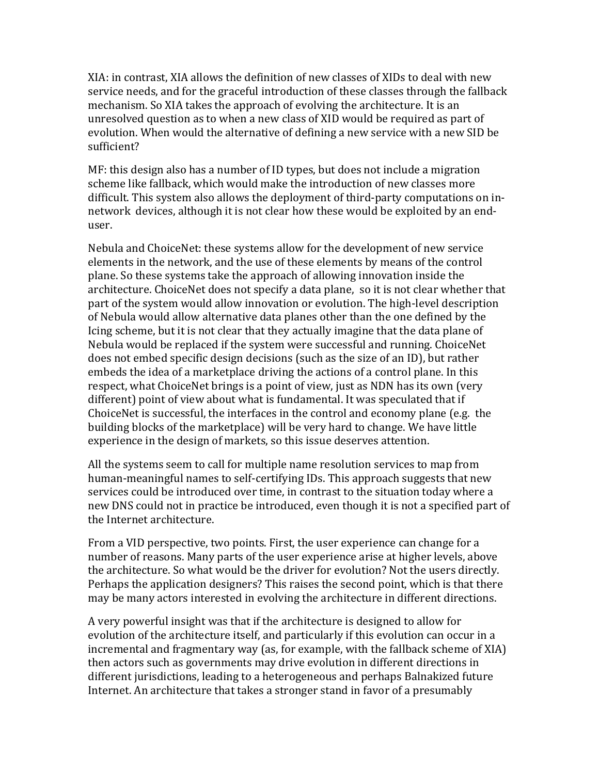$XIA:$  in contrast,  $XIA$  allows the definition of new classes of  $XIDs$  to deal with new service needs, and for the graceful introduction of these classes through the fallback mechanism. So XIA takes the approach of evolving the architecture. It is an unresolved question as to when a new class of XID would be required as part of evolution. When would the alternative of defining a new service with a new SID be sufficient?

 $MF:$  this design also has a number of ID types, but does not include a migration scheme like fallback, which would make the introduction of new classes more difficult. This system also allows the deployment of third-party computations on innetwork devices, although it is not clear how these would be exploited by an enduser.

Nebula and ChoiceNet: these systems allow for the development of new service elements in the network, and the use of these elements by means of the control plane. So these systems take the approach of allowing innovation inside the architecture. ChoiceNet does not specify a data plane, so it is not clear whether that part of the system would allow innovation or evolution. The high-level description of Nebula would allow alternative data planes other than the one defined by the Icing scheme, but it is not clear that they actually imagine that the data plane of Nebula would be replaced if the system were successful and running. ChoiceNet does not embed specific design decisions (such as the size of an ID), but rather embeds the idea of a marketplace driving the actions of a control plane. In this respect, what ChoiceNet brings is a point of view, just as NDN has its own (very different) point of view about what is fundamental. It was speculated that if ChoiceNet is successful, the interfaces in the control and economy plane (e.g. the building blocks of the marketplace) will be very hard to change. We have little experience in the design of markets, so this issue deserves attention.

All the systems seem to call for multiple name resolution services to map from human-meaningful names to self-certifying IDs. This approach suggests that new services could be introduced over time, in contrast to the situation today where a new DNS could not in practice be introduced, even though it is not a specified part of the Internet architecture.

From a VID perspective, two points. First, the user experience can change for a number of reasons. Many parts of the user experience arise at higher levels, above the architecture. So what would be the driver for evolution? Not the users directly. Perhaps the application designers? This raises the second point, which is that there may be many actors interested in evolving the architecture in different directions.

A very powerful insight was that if the architecture is designed to allow for evolution of the architecture itself, and particularly if this evolution can occur in a incremental and fragmentary way (as, for example, with the fallback scheme of XIA) then actors such as governments may drive evolution in different directions in different jurisdictions, leading to a heterogeneous and perhaps Balnakized future Internet. An architecture that takes a stronger stand in favor of a presumably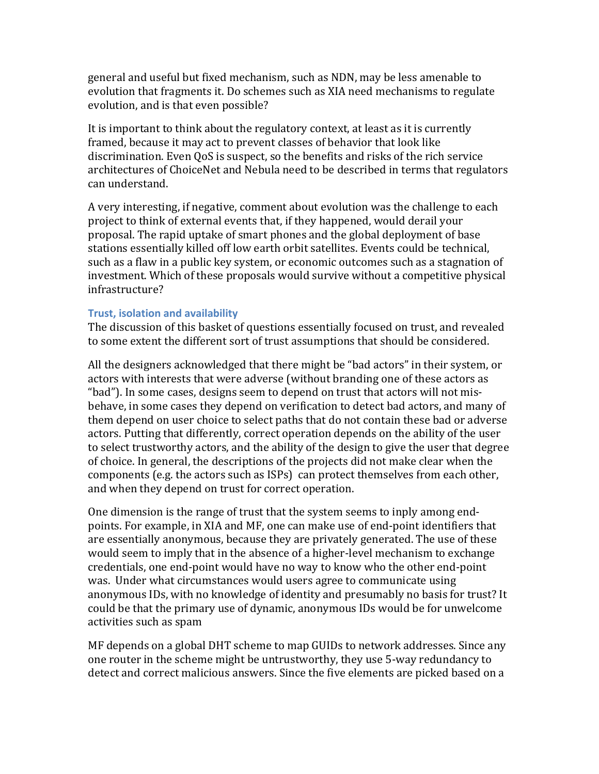general and useful but fixed mechanism, such as NDN, may be less amenable to evolution that fragments it. Do schemes such as XIA need mechanisms to regulate evolution, and is that even possible?

It is important to think about the regulatory context, at least as it is currently framed, because it may act to prevent classes of behavior that look like discrimination. Even QoS is suspect, so the benefits and risks of the rich service architectures of ChoiceNet and Nebula need to be described in terms that regulators can understand.

A very interesting, if negative, comment about evolution was the challenge to each project to think of external events that, if they happened, would derail your proposal. The rapid uptake of smart phones and the global deployment of base stations essentially killed off low earth orbit satellites. Events could be technical, such as a flaw in a public key system, or economic outcomes such as a stagnation of investment. Which of these proposals would survive without a competitive physical infrastructure?%

#### **Trust, isolation and availability**

The discussion of this basket of questions essentially focused on trust, and revealed to some extent the different sort of trust assumptions that should be considered.

All the designers acknowledged that there might be "bad actors" in their system, or actors with interests that were adverse (without branding one of these actors as "bad"). In some cases, designs seem to depend on trust that actors will not misbehave, in some cases they depend on verification to detect bad actors, and many of them depend on user choice to select paths that do not contain these bad or adverse actors. Putting that differently, correct operation depends on the ability of the user to select trustworthy actors, and the ability of the design to give the user that degree of choice. In general, the descriptions of the projects did not make clear when the components (e.g. the actors such as ISPs) can protect themselves from each other, and when they depend on trust for correct operation.

One dimension is the range of trust that the system seems to inply among endpoints. For example, in XIA and MF, one can make use of end-point identifiers that are essentially anonymous, because they are privately generated. The use of these would seem to imply that in the absence of a higher-level mechanism to exchange credentials, one end-point would have no way to know who the other end-point was. Under what circumstances would users agree to communicate using anonymous IDs, with no knowledge of identity and presumably no basis for trust? It could be that the primary use of dynamic, anonymous IDs would be for unwelcome activities such as spam

MF depends on a global DHT scheme to map GUIDs to network addresses. Since any one router in the scheme might be untrustworthy, they use 5-way redundancy to detect and correct malicious answers. Since the five elements are picked based on a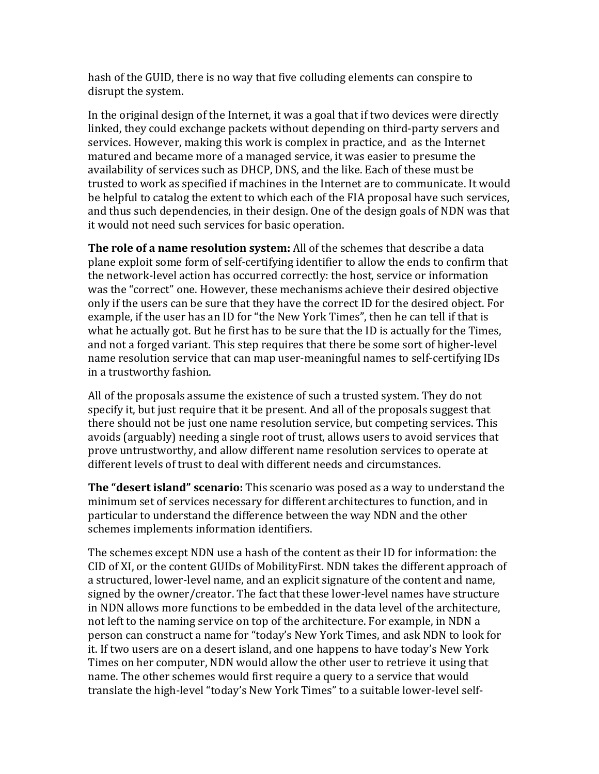hash of the GUID, there is no way that five colluding elements can conspire to disrupt the system.

In the original design of the Internet, it was a goal that if two devices were directly linked, they could exchange packets without depending on third-party servers and services. However, making this work is complex in practice, and as the Internet matured and became more of a managed service, it was easier to presume the availability of services such as DHCP, DNS, and the like. Each of these must be trusted to work as specified if machines in the Internet are to communicate. It would be helpful to catalog the extent to which each of the FIA proposal have such services, and thus such dependencies, in their design. One of the design goals of NDN was that it would not need such services for basic operation.

**The role of a name resolution system:** All of the schemes that describe a data plane exploit some form of self-certifying identifier to allow the ends to confirm that the network-level action has occurred correctly: the host, service or information was the "correct" one. However, these mechanisms achieve their desired objective only if the users can be sure that they have the correct ID for the desired object. For example, if the user has an ID for "the New York Times", then he can tell if that is what he actually got. But he first has to be sure that the ID is actually for the Times, and not a forged variant. This step requires that there be some sort of higher-level name resolution service that can map user-meaningful names to self-certifying IDs in a trustworthy fashion.

All of the proposals assume the existence of such a trusted system. They do not specify it, but just require that it be present. And all of the proposals suggest that there should not be just one name resolution service, but competing services. This avoids (arguably) needing a single root of trust, allows users to avoid services that prove untrustworthy, and allow different name resolution services to operate at different levels of trust to deal with different needs and circumstances.

**The "desert island" scenario:** This scenario was posed as a way to understand the minimum set of services necessary for different architectures to function, and in particular to understand the difference between the way NDN and the other schemes implements information identifiers.

The schemes except NDN use a hash of the content as their ID for information: the CID of XI, or the content GUIDs of MobilityFirst. NDN takes the different approach of a structured, lower-level name, and an explicit signature of the content and name, signed by the owner/creator. The fact that these lower-level names have structure in NDN allows more functions to be embedded in the data level of the architecture, not left to the naming service on top of the architecture. For example, in NDN a person can construct a name for "today's New York Times, and ask NDN to look for it. If two users are on a desert island, and one happens to have today's New York Times on her computer, NDN would allow the other user to retrieve it using that name. The other schemes would first require a query to a service that would translate the high-level "today's New York Times" to a suitable lower-level self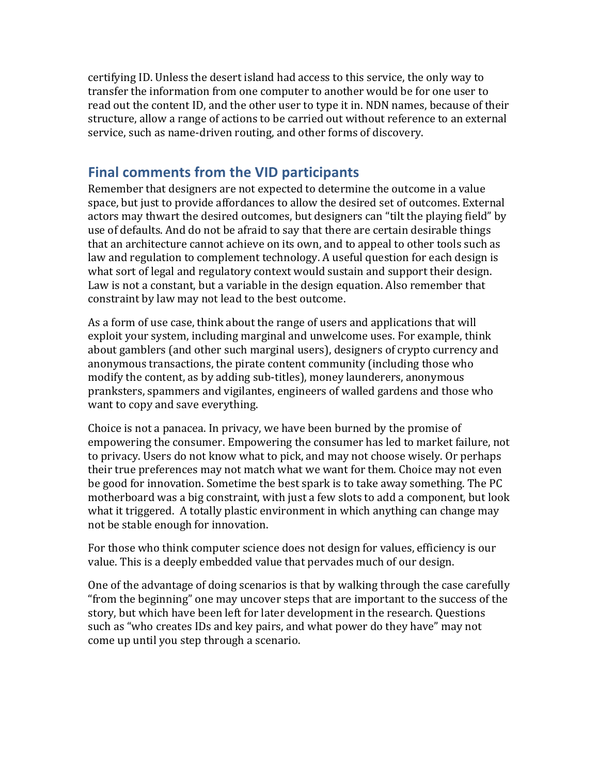certifying ID. Unless the desert island had access to this service, the only way to transfer the information from one computer to another would be for one user to read out the content ID, and the other user to type it in. NDN names, because of their structure, allow a range of actions to be carried out without reference to an external service, such as name-driven routing, and other forms of discovery.

# **Final comments from the VID participants**

Remember that designers are not expected to determine the outcome in a value space, but just to provide affordances to allow the desired set of outcomes. External actors may thwart the desired outcomes, but designers can "tilt the playing field" by use of defaults. And do not be afraid to say that there are certain desirable things that an architecture cannot achieve on its own, and to appeal to other tools such as law and regulation to complement technology. A useful question for each design is what sort of legal and regulatory context would sustain and support their design. Law is not a constant, but a variable in the design equation. Also remember that constraint by law may not lead to the best outcome.

As a form of use case, think about the range of users and applications that will exploit your system, including marginal and unwelcome uses. For example, think about gamblers (and other such marginal users), designers of crypto currency and anonymous transactions, the pirate content community (including those who modify the content, as by adding sub-titles), money launderers, anonymous pranksters, spammers and vigilantes, engineers of walled gardens and those who want to copy and save everything.

Choice is not a panacea. In privacy, we have been burned by the promise of empowering the consumer. Empowering the consumer has led to market failure, not to privacy. Users do not know what to pick, and may not choose wisely. Or perhaps their true preferences may not match what we want for them. Choice may not even be good for innovation. Sometime the best spark is to take away something. The PC motherboard was a big constraint, with just a few slots to add a component, but look what it triggered. A totally plastic environment in which anything can change may not be stable enough for innovation.

For those who think computer science does not design for values, efficiency is our value. This is a deeply embedded value that pervades much of our design.

One of the advantage of doing scenarios is that by walking through the case carefully "from the beginning" one may uncover steps that are important to the success of the story, but which have been left for later development in the research. Questions such as "who creates IDs and key pairs, and what power do they have" may not come up until you step through a scenario.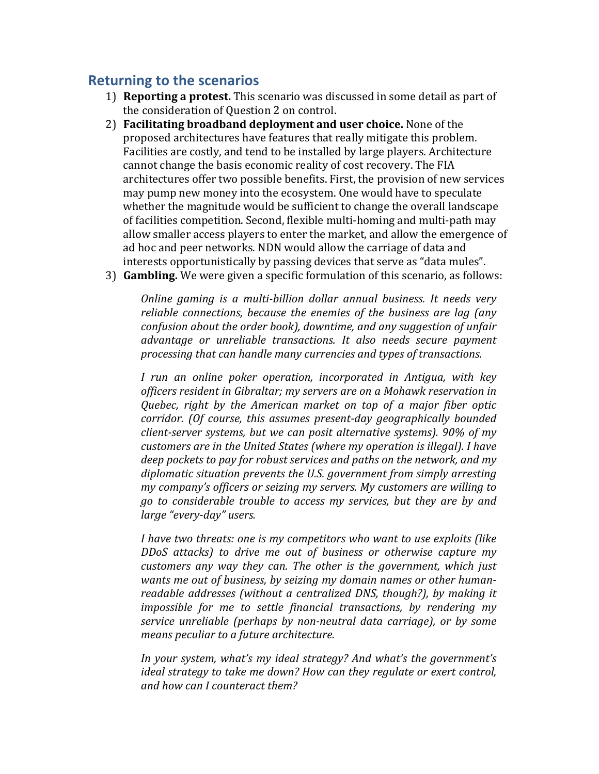# **Returning to the scenarios**

- 1) **Reporting a protest.** This scenario was discussed in some detail as part of the consideration of Question 2 on control.
- 2) **Facilitating broadband deployment and user choice.** None of the proposed architectures have features that really mitigate this problem. Facilities are costly, and tend to be installed by large players. Architecture cannot change the basis economic reality of cost recovery. The FIA architectures offer two possible benefits. First, the provision of new services may pump new money into the ecosystem. One would have to speculate whether the magnitude would be sufficient to change the overall landscape of facilities competition. Second, flexible multi-homing and multi-path may allow smaller access players to enter the market, and allow the emergence of ad hoc and peer networks. NDN would allow the carriage of data and interests opportunistically by passing devices that serve as "data mules".
- 3) **Gambling.** We were given a specific formulation of this scenario, as follows:

*Online gaming is a multi-billion dollar annual business. It needs very reliable connections, because the enemies of the business are lag (any) confusion about the order book), downtime, and any suggestion of unfair advantage( or( unreliable( transactions.( It( also( needs( secure( payment( processing that can handle many currencies and types of transactions.* 

*I* run an online poker operation, incorporated in Antigua, with key *officers resident in Gibraltar; my servers are on a Mohawk reservation in Quebec, right by the American market on top of a major fiber optic corridor. (Of course, this assumes present-day geographically bounded client-server systems, but we can posit alternative systems). 90% of my customers are in the United States (where my operation is illegal). I have deep pockets to pay for robust services and paths on the network, and my* diplomatic situation prevents the U.S. government from simply arresting *my company's officers or seizing my servers. My customers are willing to go( to( considerable( trouble( to( access( my( services,( but( they( are( by( and( large "every-day" users.* 

*I* have two threats: one is my competitors who want to use exploits (like) *DDoS* attacks) to drive me out of business or otherwise capture my *customers any way they can. The other is the government, which just wants me out of business, by seizing my domain names or other humanreadable addresses (without a centralized DNS, though?), by making it impossible for me to settle financial transactions, by rendering my service unreliable (perhaps by non-neutral data carriage), or by some means peculiar to a future architecture.* 

In your system, what's my ideal strategy? And what's the government's *ideal strategy to take me down? How can they regulate or exert control, and how can I counteract them?*